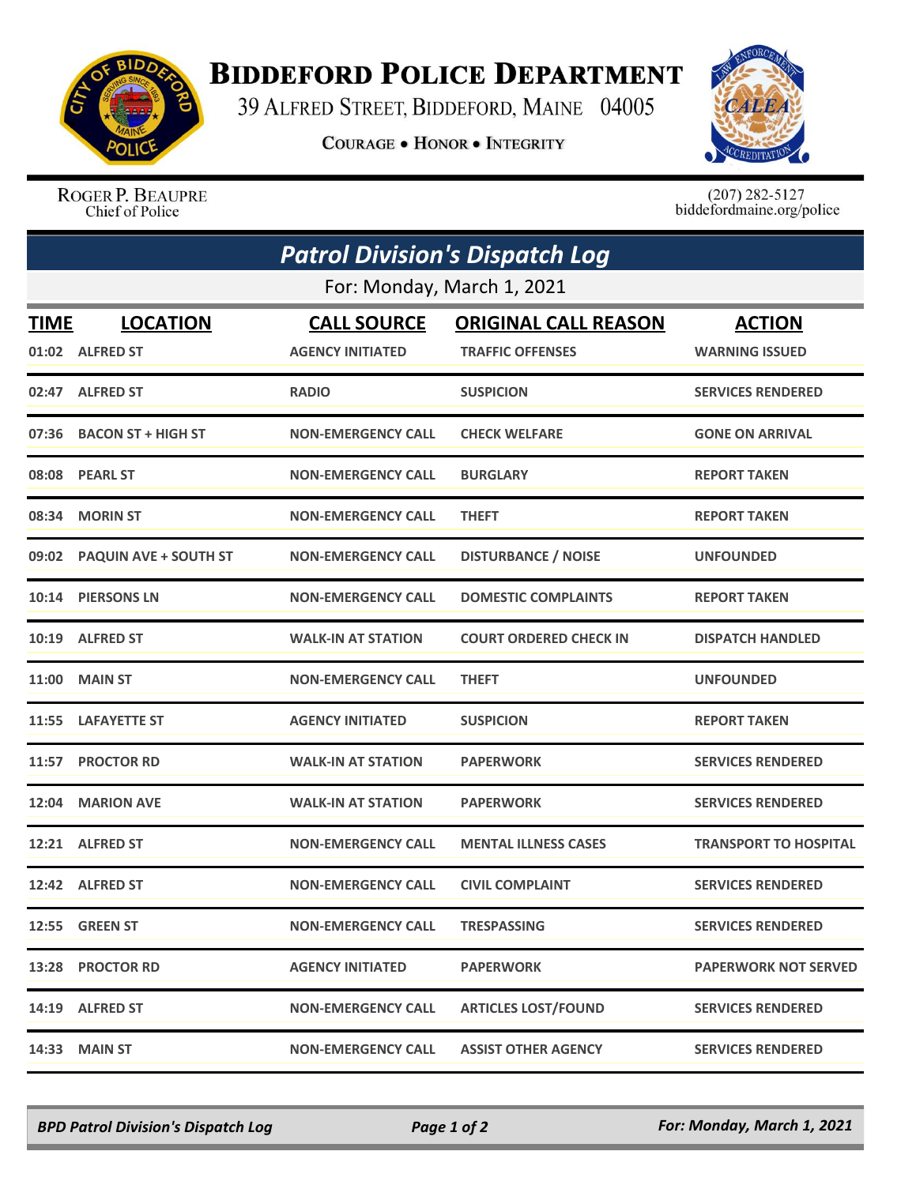

## **BIDDEFORD POLICE DEPARTMENT**

39 ALFRED STREET, BIDDEFORD, MAINE 04005

**COURAGE . HONOR . INTEGRITY** 



ROGER P. BEAUPRE Chief of Police

 $(207)$  282-5127<br>biddefordmaine.org/police

| <b>Patrol Division's Dispatch Log</b><br>For: Monday, March 1, 2021 |                             |                           |                               |                              |  |  |
|---------------------------------------------------------------------|-----------------------------|---------------------------|-------------------------------|------------------------------|--|--|
|                                                                     |                             |                           |                               |                              |  |  |
|                                                                     | 01:02 ALFRED ST             | <b>AGENCY INITIATED</b>   | <b>TRAFFIC OFFENSES</b>       | <b>WARNING ISSUED</b>        |  |  |
|                                                                     | 02:47 ALFRED ST             | <b>RADIO</b>              | <b>SUSPICION</b>              | <b>SERVICES RENDERED</b>     |  |  |
| 07:36                                                               | <b>BACON ST + HIGH ST</b>   | <b>NON-EMERGENCY CALL</b> | <b>CHECK WELFARE</b>          | <b>GONE ON ARRIVAL</b>       |  |  |
|                                                                     | 08:08 PEARL ST              | <b>NON-EMERGENCY CALL</b> | <b>BURGLARY</b>               | <b>REPORT TAKEN</b>          |  |  |
| 08:34                                                               | <b>MORIN ST</b>             | <b>NON-EMERGENCY CALL</b> | <b>THEFT</b>                  | <b>REPORT TAKEN</b>          |  |  |
|                                                                     | 09:02 PAQUIN AVE + SOUTH ST | <b>NON-EMERGENCY CALL</b> | <b>DISTURBANCE / NOISE</b>    | <b>UNFOUNDED</b>             |  |  |
|                                                                     | 10:14 PIERSONS LN           | <b>NON-EMERGENCY CALL</b> | <b>DOMESTIC COMPLAINTS</b>    | <b>REPORT TAKEN</b>          |  |  |
|                                                                     | 10:19 ALFRED ST             | <b>WALK-IN AT STATION</b> | <b>COURT ORDERED CHECK IN</b> | <b>DISPATCH HANDLED</b>      |  |  |
| 11:00                                                               | <b>MAIN ST</b>              | <b>NON-EMERGENCY CALL</b> | <b>THEFT</b>                  | <b>UNFOUNDED</b>             |  |  |
|                                                                     | 11:55 LAFAYETTE ST          | <b>AGENCY INITIATED</b>   | <b>SUSPICION</b>              | <b>REPORT TAKEN</b>          |  |  |
|                                                                     | 11:57 PROCTOR RD            | <b>WALK-IN AT STATION</b> | <b>PAPERWORK</b>              | <b>SERVICES RENDERED</b>     |  |  |
| 12:04                                                               | <b>MARION AVE</b>           | <b>WALK-IN AT STATION</b> | <b>PAPERWORK</b>              | <b>SERVICES RENDERED</b>     |  |  |
|                                                                     | 12:21 ALFRED ST             | <b>NON-EMERGENCY CALL</b> | <b>MENTAL ILLNESS CASES</b>   | <b>TRANSPORT TO HOSPITAL</b> |  |  |
|                                                                     | 12:42 ALFRED ST             | <b>NON-EMERGENCY CALL</b> | <b>CIVIL COMPLAINT</b>        | <b>SERVICES RENDERED</b>     |  |  |
|                                                                     | 12:55 GREEN ST              | <b>NON-EMERGENCY CALL</b> | <b>TRESPASSING</b>            | <b>SERVICES RENDERED</b>     |  |  |
|                                                                     | 13:28 PROCTOR RD            | <b>AGENCY INITIATED</b>   | <b>PAPERWORK</b>              | <b>PAPERWORK NOT SERVED</b>  |  |  |
|                                                                     | 14:19 ALFRED ST             | <b>NON-EMERGENCY CALL</b> | <b>ARTICLES LOST/FOUND</b>    | <b>SERVICES RENDERED</b>     |  |  |
| 14:33                                                               | <b>MAIN ST</b>              | <b>NON-EMERGENCY CALL</b> | <b>ASSIST OTHER AGENCY</b>    | <b>SERVICES RENDERED</b>     |  |  |

*BPD Patrol Division's Dispatch Log Page 1 of 2 For: Monday, March 1, 2021*